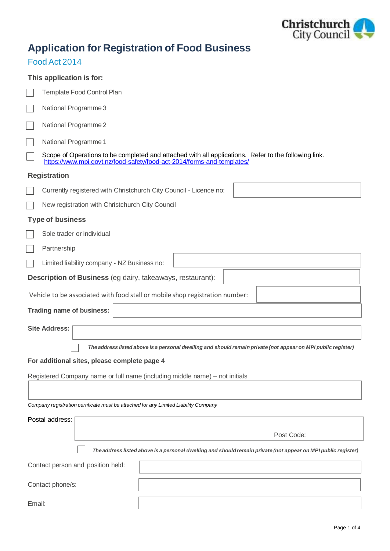

# **Application for Registration of Food Business**

### Food Act 2014

| This application is for:                                                                                                                                                       |            |  |  |
|--------------------------------------------------------------------------------------------------------------------------------------------------------------------------------|------------|--|--|
| Template Food Control Plan                                                                                                                                                     |            |  |  |
| National Programme 3                                                                                                                                                           |            |  |  |
| National Programme 2                                                                                                                                                           |            |  |  |
| National Programme 1                                                                                                                                                           |            |  |  |
| Scope of Operations to be completed and attached with all applications. Refer to the following link.<br>https://www.mpi.govt.nz/food-safety/food-act-2014/forms-and-templates/ |            |  |  |
| <b>Registration</b>                                                                                                                                                            |            |  |  |
| Currently registered with Christchurch City Council - Licence no:                                                                                                              |            |  |  |
| New registration with Christchurch City Council                                                                                                                                |            |  |  |
| <b>Type of business</b>                                                                                                                                                        |            |  |  |
| Sole trader or individual                                                                                                                                                      |            |  |  |
| Partnership                                                                                                                                                                    |            |  |  |
| Limited liability company - NZ Business no:                                                                                                                                    |            |  |  |
| <b>Description of Business</b> (eg dairy, takeaways, restaurant):                                                                                                              |            |  |  |
| Vehicle to be associated with food stall or mobile shop registration number:                                                                                                   |            |  |  |
| Trading name of business:                                                                                                                                                      |            |  |  |
| <b>Site Address:</b>                                                                                                                                                           |            |  |  |
|                                                                                                                                                                                |            |  |  |
| The address listed above is a personal dwelling and should remain private (not appear on MPI public register)<br>For additional sites, please complete page 4                  |            |  |  |
| Registered Company name or full name (including middle name) – not initials                                                                                                    |            |  |  |
|                                                                                                                                                                                |            |  |  |
| Company registration certificate must be attached for any Limited Liability Company                                                                                            |            |  |  |
| Postal address:                                                                                                                                                                |            |  |  |
|                                                                                                                                                                                | Post Code: |  |  |
| The address listed above is a personal dwelling and should remain private (not appear on MPI public register)                                                                  |            |  |  |
| Contact person and position held:                                                                                                                                              |            |  |  |
| Contact phone/s:                                                                                                                                                               |            |  |  |
| Email:                                                                                                                                                                         |            |  |  |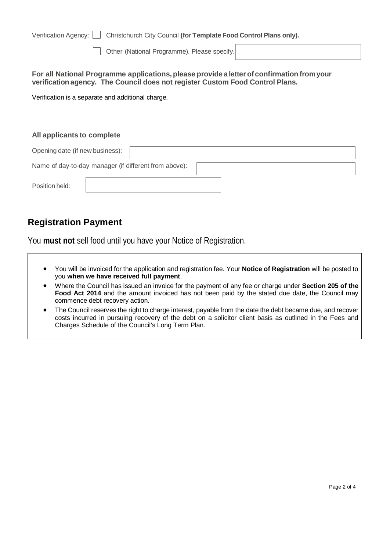| Verification Agency:                              | Christchurch City Council (for Template Food Control Plans only).                                                                                                           |  |
|---------------------------------------------------|-----------------------------------------------------------------------------------------------------------------------------------------------------------------------------|--|
|                                                   | Other (National Programme). Please specify.                                                                                                                                 |  |
|                                                   | For all National Programme applications, please provide a letter of confirmation from your<br>verification agency. The Council does not register Custom Food Control Plans. |  |
| Verification is a separate and additional charge. |                                                                                                                                                                             |  |
|                                                   |                                                                                                                                                                             |  |
|                                                   |                                                                                                                                                                             |  |
| All applicants to complete                        |                                                                                                                                                                             |  |
| Opening date (if new business):                   |                                                                                                                                                                             |  |
|                                                   | Name of day-to-day manager (if different from above):                                                                                                                       |  |
| Position held:                                    |                                                                                                                                                                             |  |

## **Registration Payment**

You **must not** sell food until you have your Notice of Registration.

- You will be invoiced for the application and registration fee. Your **Notice of Registration** will be posted to you **when we have received full payment**.
- Where the Council has issued an invoice for the payment of any fee or charge under **Section 205 of the Food Act 2014** and the amount invoiced has not been paid by the stated due date, the Council may commence debt recovery action.
- The Council reserves the right to charge interest, payable from the date the debt became due, and recover costs incurred in pursuing recovery of the debt on a solicitor client basis as outlined in the Fees and Charges Schedule of the Council's Long Term Plan.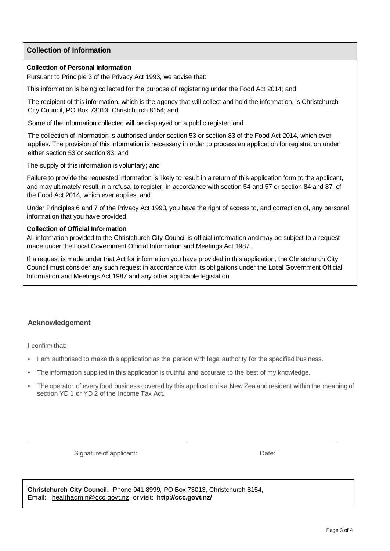#### **Collection of Information**

#### **Collection of Personal Information**

Pursuant to Principle 3 of the Privacy Act 1993, we advise that:

This information is being collected for the purpose of registering under the Food Act 2014; and

The recipient of this information, which is the agency that will collect and hold the information, is Christchurch City Council, PO Box 73013, Christchurch 8154; and

Some of the information collected will be displayed on a public register; and

The collection of information is authorised under section 53 or section 83 of the Food Act 2014, which ever applies. The provision of this information is necessary in order to process an application for registration under either section 53 or section 83; and

The supply of this information is voluntary; and

Failure to provide the requested information is likely to result in a return of this application form to the applicant, and may ultimately result in a refusal to register, in accordance with section 54 and 57 or section 84 and 87, of the Food Act 2014, which ever applies; and

Under Principles 6 and 7 of the Privacy Act 1993, you have the right of access to, and correction of, any personal information that you have provided.

#### **Collection of Official Information**

All information provided to the Christchurch City Council is official information and may be subject to a request made under the Local Government Official Information and Meetings Act 1987.

If a request is made under that Act for information you have provided in this application, the Christchurch City Council must consider any such request in accordance with its obligations under the Local Government Official Information and Meetings Act 1987 and any other applicable legislation.

#### **Acknowledgement**

I confirm that:

- I am authorised to make this application as the person with legal authority for the specified business.
- The information supplied in this application is truthful and accurate to the best of my knowledge.
- The operator of every food business covered by this application is a New Zealand resident within the meaning of section YD 1 or YD 2 of the Income Tax Act.

Signature of applicant: Date: Date: Date:

**Christchurch City Council:** Phone 941 8999, PO Box 73013, Christchurch 8154, Email: [healthadmin@ccc.govt.nz,](mailto:healthadmin@ccc.govt.nz) or visit: **<http://ccc.govt.nz/>**